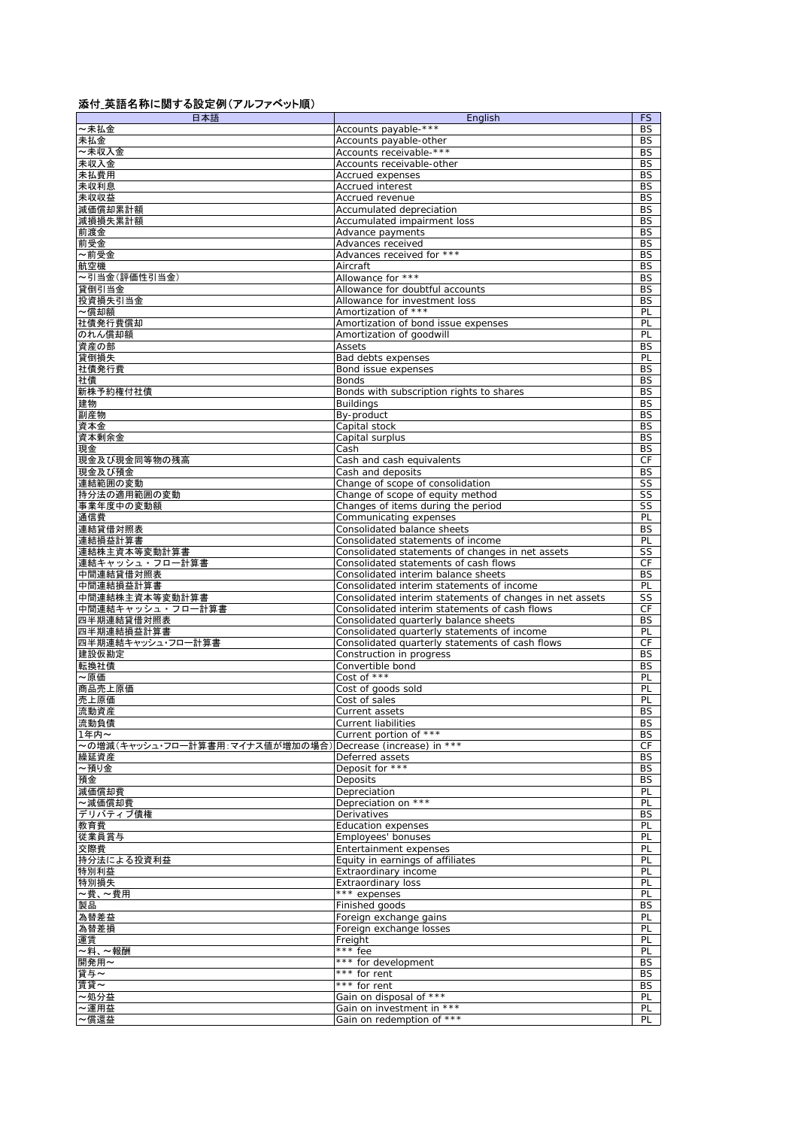## 添付\_英語名称に関する設定例(アルファベット順)

| 日本語                                | English                                                                                                   | <b>FS</b>              |
|------------------------------------|-----------------------------------------------------------------------------------------------------------|------------------------|
| ~未払金                               | Accounts payable-***                                                                                      | BS                     |
| 未払金                                | Accounts payable-other                                                                                    | <b>BS</b>              |
| ~未収入金                              | Accounts receivable-***                                                                                   | <b>BS</b>              |
| 未収入金                               | Accounts receivable-other                                                                                 | <b>BS</b>              |
| 未払費用                               | Accrued expenses                                                                                          | <b>BS</b>              |
| 未収利息<br>未収収益                       | <b>Accrued interest</b><br>Accrued revenue                                                                | <b>BS</b><br><b>BS</b> |
| 減価償却累計額                            | Accumulated depreciation                                                                                  | <b>BS</b>              |
| 減損損失累計額                            | Accumulated impairment loss                                                                               | <b>BS</b>              |
| 前渡金                                | Advance payments                                                                                          | BS                     |
| 前受金                                | Advances received                                                                                         | <b>BS</b>              |
| ~前受金                               | Advances received for ***                                                                                 | <b>BS</b>              |
| 航空機                                | Aircraft                                                                                                  | BS                     |
| ~引当金(評価性引当金)                       | Allowance for ***                                                                                         | <b>BS</b>              |
| 貸倒引当金                              | Allowance for doubtful accounts                                                                           | <b>BS</b>              |
| 投資損失引当金                            | Allowance for investment loss                                                                             | <b>BS</b>              |
| ~償却額                               | Amortization of ***                                                                                       | PL                     |
| 社債発行費償却                            | Amortization of bond issue expenses                                                                       | PL                     |
| のれん償却額                             | Amortization of goodwill<br>Assets                                                                        | PL                     |
| 資産の部<br>貸倒損失                       | Bad debts expenses                                                                                        | <b>BS</b><br>PL        |
| 社債発行費                              | Bond issue expenses                                                                                       | <b>BS</b>              |
| 社債                                 | Bonds                                                                                                     | <b>BS</b>              |
| 新株予約権付社債                           | Bonds with subscription rights to shares                                                                  | <b>BS</b>              |
| 建物                                 | <b>Buildings</b>                                                                                          | <b>BS</b>              |
| 副産物                                | By-product                                                                                                | <b>BS</b>              |
| 資本金                                | Capital stock                                                                                             | BS                     |
| 資本剰余金                              | Capital surplus                                                                                           | <b>BS</b>              |
| 現金                                 | Cash                                                                                                      | <b>BS</b>              |
| 現金及び現金同等物の残高<br>現金及び預金             | Cash and cash equivalents                                                                                 | СF<br><b>BS</b>        |
| 連結範囲の変動                            | Cash and deposits<br>Change of scope of consolidation                                                     | SS                     |
| 持分法の適用範囲の変動                        | Change of scope of equity method                                                                          | SS                     |
| 事業年度中の変動額                          | Changes of items during the period                                                                        | SS                     |
| 通信費                                | Communicating expenses                                                                                    | PL                     |
| 連結貸借対照表                            | Consolidated balance sheets                                                                               | <b>BS</b>              |
| 連結損益計算書                            | Consolidated statements of income                                                                         | PL                     |
| 連結株主資本等変動計算書                       | Consolidated statements of changes in net assets                                                          | SS                     |
| 連結キャッシュ・フロー計算書                     | Consolidated statements of cash flows                                                                     | CF                     |
| 中間連結貸借対照表                          | Consolidated interim balance sheets                                                                       | <b>BS</b>              |
| 中間連結損益計算書                          | Consolidated interim statements of income                                                                 | PL                     |
| 中間連結株主資本等変動計算書<br>中間連結キャッシュ・フロー計算書 | Consolidated interim statements of changes in net assets<br>Consolidated interim statements of cash flows | SS<br>CF               |
| 四半期連結貸借対照表                         | Consolidated quarterly balance sheets                                                                     | <b>BS</b>              |
| 四半期連結損益計算書                         | Consolidated quarterly statements of income                                                               | PL                     |
| 四半期連結キャッシュ・フロー計算書                  | Consolidated quarterly statements of cash flows                                                           | СF                     |
| 建設仮勘定                              | Construction in progress                                                                                  | <b>BS</b>              |
| 転換社債                               | Convertible bond                                                                                          | <b>BS</b>              |
| ~原価                                | Cost of ***                                                                                               | PL                     |
| 商品売上原価                             | Cost of goods sold                                                                                        | PL                     |
| 売上原価<br>流動資産                       | Cost of sales<br>Current assets                                                                           | PL<br><b>BS</b>        |
| 流動負債                               | <b>Current liabilities</b>                                                                                | BS                     |
| 1年内~                               | Current portion of ***                                                                                    | BS                     |
| ~の増減(キャッシュ・フロー計算書用:マイナス値が増加の場合)    | Decrease (increase) in ***                                                                                | СF                     |
| 繰延資産                               | Deferred assets                                                                                           | BS                     |
| ~預り金                               | Deposit for ***                                                                                           | BS                     |
| 預金                                 | Deposits                                                                                                  | <b>BS</b>              |
| 減価償却費                              | Depreciation                                                                                              | PL                     |
| ~減価償却費                             | Depreciation on ***                                                                                       | PL                     |
| デリバティブ債権                           | Derivatives                                                                                               | <b>BS</b>              |
| 教育費<br>従業員賞与                       | Education expenses<br>Employees' bonuses                                                                  | PL<br>PL               |
| 交際費                                | Entertainment expenses                                                                                    | PL                     |
| 持分法による投資利益                         | Equity in earnings of affiliates                                                                          | PL                     |
| 特別利益                               | Extraordinary income                                                                                      | PL                     |
| 特別損失                               | <b>Extraordinary loss</b>                                                                                 | PL                     |
| ~費、~費用                             | *** expenses                                                                                              | PL                     |
| 製品                                 | Finished goods                                                                                            | <b>BS</b>              |
| 為替差益                               | Foreign exchange gains                                                                                    | PL                     |
| 為替差損                               | Foreign exchange losses                                                                                   | PL                     |
| 運賃<br>~料、~報酬                       | Freight<br>*** fee                                                                                        | PL<br>PL               |
| 開発用~                               | *** for development                                                                                       | <b>BS</b>              |
| 貸与~                                | *** for rent                                                                                              | BS                     |
| 賃貸~                                | *** for rent                                                                                              | <b>BS</b>              |
| ~処分益                               | Gain on disposal of ***                                                                                   | PL                     |
| ~運用益                               | Gain on investment in ***                                                                                 | PL                     |
| ~償還益                               | Gain on redemption of ***                                                                                 | PL                     |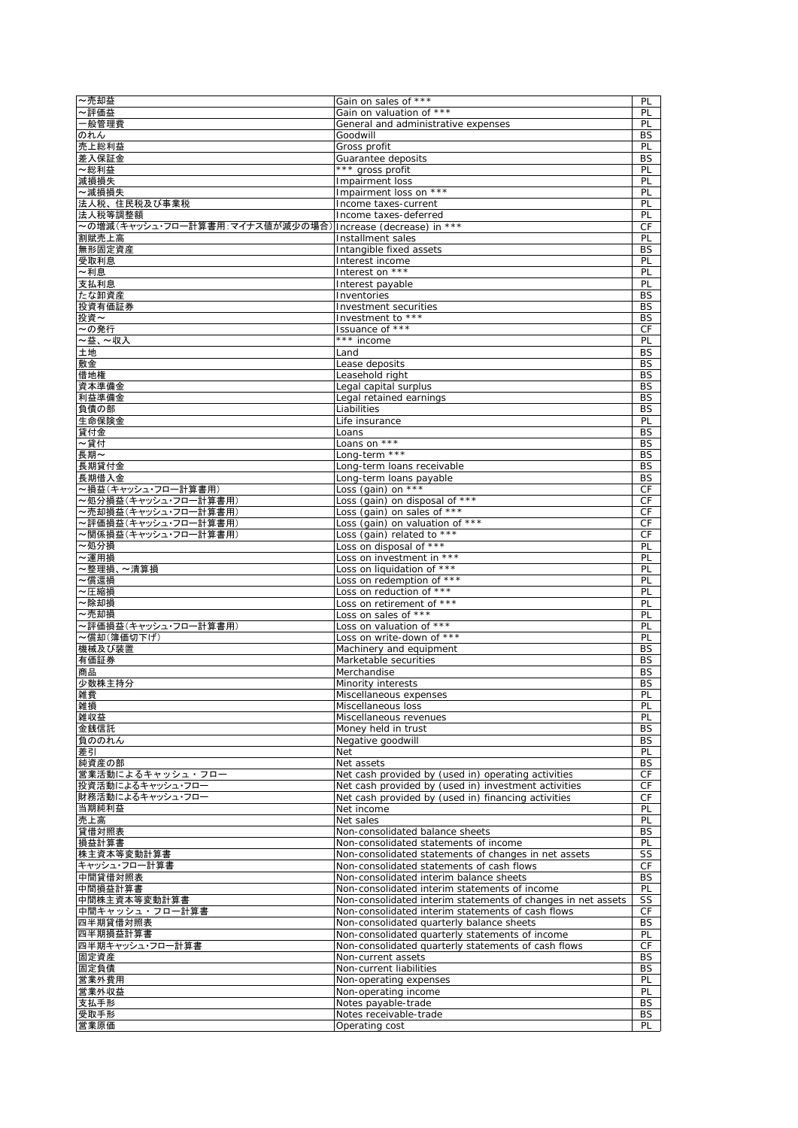| ~売却益                                                                   | Gain on sales of ***                                         | PL                     |
|------------------------------------------------------------------------|--------------------------------------------------------------|------------------------|
| ~評価益                                                                   | Gain on valuation of ***                                     | PL                     |
| 一般管理費                                                                  | General and administrative expenses                          | PL                     |
| のれん                                                                    | Goodwill                                                     | BS                     |
| 売上総利益                                                                  | Gross profit                                                 | PL                     |
| 差入保証金                                                                  | Guarantee deposits                                           | <b>BS</b>              |
| ~総利益                                                                   | *** gross profit                                             | PL                     |
| 減損損失                                                                   | Impairment loss                                              | PL                     |
| ~減損損失                                                                  | Impairment loss on ***                                       | PL                     |
| 法人税、住民税及び事業税                                                           | Income taxes-current                                         | PL                     |
| 法人税等調整額<br>~の増減(キャッシュ・フロ一計算書用:マイナス値が減少の場合)  Increase (decrease) in *** | Income taxes-deferred                                        | PL<br>CF               |
| 割賦売上高                                                                  | Installment sales                                            | PL                     |
| 無形固定資産                                                                 | Intangible fixed assets                                      | <b>BS</b>              |
| 受取利息                                                                   | Interest income                                              | PL                     |
| ~利息                                                                    | Interest on ***                                              | PL                     |
| 支払利息                                                                   | Interest payable                                             | PL                     |
| たな卸資産                                                                  | Inventories                                                  | <b>BS</b>              |
| 投資有価証券                                                                 | Investment securities                                        | BS                     |
| 投資~                                                                    | Investment to ***                                            | <b>BS</b>              |
| ~の発行                                                                   | Issuance of ***                                              | CF                     |
| ~益、~収入                                                                 | *** income                                                   | PL                     |
| 土地                                                                     | Land                                                         | BS                     |
| 敷金                                                                     | Lease deposits                                               | BS                     |
| 借地権                                                                    | Leasehold right                                              | BS                     |
| 資本準備金                                                                  | Legal capital surplus                                        | BS                     |
| 利益準備金                                                                  | Legal retained earnings                                      | BS                     |
| 負債の部                                                                   | Liabilities                                                  | <b>BS</b>              |
| 生命保険金                                                                  | Life insurance                                               | PL                     |
| 貸付金                                                                    | Loans                                                        | BS                     |
| ~貸付                                                                    | Loans on ***                                                 | <b>BS</b>              |
| 長期~                                                                    | Long-term ***                                                | <b>BS</b>              |
| 長期貸付金                                                                  | Long-term loans receivable<br>Long-term loans payable        | <b>BS</b><br><b>BS</b> |
| 長期借入金<br>~損益(キャッシュ・フロー計算書用)                                            | Loss (gain) on ***                                           | CF                     |
| ~処分損益(キャッシュ・フロー計算書用)                                                   | Loss (gain) on disposal of ***                               | CF                     |
| ~売却損益(キャッシュ・フロー計算書用)                                                   | Loss (gain) on sales of ***                                  | CF                     |
| ~評価損益(キャッシュ・フロー計算書用)                                                   | Loss (gain) on valuation of ***                              | CF                     |
| ~関係損益(キャッシュ・フロー計算書用)                                                   | Loss (gain) related to ***                                   | СF                     |
| ~処分損                                                                   | Loss on disposal of ***                                      | PL                     |
| ~運用損                                                                   | Loss on investment in ***                                    | PL                     |
| ~整理損、~清算損                                                              | Loss on liquidation of ***                                   | PL                     |
| ~償還損                                                                   | Loss on redemption of ***                                    | PL                     |
| ~圧縮損                                                                   | Loss on reduction of ***                                     | PL                     |
| ~除却損                                                                   | Loss on retirement of ***                                    | PL                     |
| ~売却損                                                                   | Loss on sales of ***                                         | PL                     |
| ~評価損益(キャッシュ・フロー計算書用)                                                   | Loss on valuation of ***                                     | PL                     |
| ~償却(簿価切下げ)                                                             | Loss on write-down of ***                                    | PL                     |
| 機械及び装置                                                                 | Machinery and equipment                                      | BS                     |
| 有価証券                                                                   | Marketable securities                                        | BS                     |
| 商品                                                                     | Merchandise                                                  | BS                     |
| 少数株主持分                                                                 | Minority interests                                           | <b>BS</b>              |
| 雑費                                                                     | Miscellaneous expenses                                       | PL                     |
| 雑損<br>雑収益                                                              | Miscellaneous loss                                           | PL                     |
|                                                                        | Miscellaneous revenues                                       | PL                     |
| 金銭信託<br>負ののれん                                                          | Money held in trust<br>Negative goodwill                     | BS<br>BS               |
| 差引                                                                     | Net                                                          | PL                     |
| 純資産の部                                                                  | Net assets                                                   | <b>BS</b>              |
| 営業活動によるキャッシュ・フロ                                                        | Net cash provided by (used in) operating activities          | СF                     |
| 投資活動によるキャッシュ・フロー                                                       | Net cash provided by (used in) investment activities         | СF                     |
| 財務活動によるキャッシュ・フロー                                                       | Net cash provided by (used in) financing activities          | СF                     |
| 当期純利益                                                                  | Net income                                                   | PL                     |
| 売上高                                                                    | Net sales                                                    | PL                     |
| 貸借対照表                                                                  | Non-consolidated balance sheets                              | <b>BS</b>              |
| 損益計算書                                                                  | Non-consolidated statements of income                        | PL                     |
| 株主資本等変動計算書                                                             | Non-consolidated statements of changes in net assets         | SS                     |
| キャッシュ・フロー計算書                                                           | Non-consolidated statements of cash flows                    | СF                     |
| 中間貸借対照表                                                                | Non-consolidated interim balance sheets                      | <b>BS</b>              |
| 中間損益計算書                                                                | Non-consolidated interim statements of income                | PL                     |
| 中間株主資本等変動計算書                                                           | Non-consolidated interim statements of changes in net assets | SS                     |
| 中間キャッシュ・フロー計算書                                                         | Non-consolidated interim statements of cash flows            | СF                     |
| 四半期貸借対照表                                                               | Non-consolidated quarterly balance sheets                    | BS                     |
| 四半期損益計算書                                                               | Non-consolidated quarterly statements of income              | PL                     |
| 四半期キャッシュ・フロー計算書                                                        | Non-consolidated quarterly statements of cash flows          | СF                     |
| 固定資産                                                                   | Non-current assets                                           | <b>BS</b>              |
| 固定負債<br>営業外費用                                                          | Non-current liabilities<br>Non-operating expenses            | <b>BS</b><br>PL        |
| 営業外収益                                                                  | Non-operating income                                         | PL                     |
| 支払手形                                                                   | Notes payable-trade                                          | <b>BS</b>              |
| 受取手形                                                                   | Notes receivable-trade                                       | <b>BS</b>              |
| 営業原価                                                                   | Operating cost                                               | PL                     |
|                                                                        |                                                              |                        |